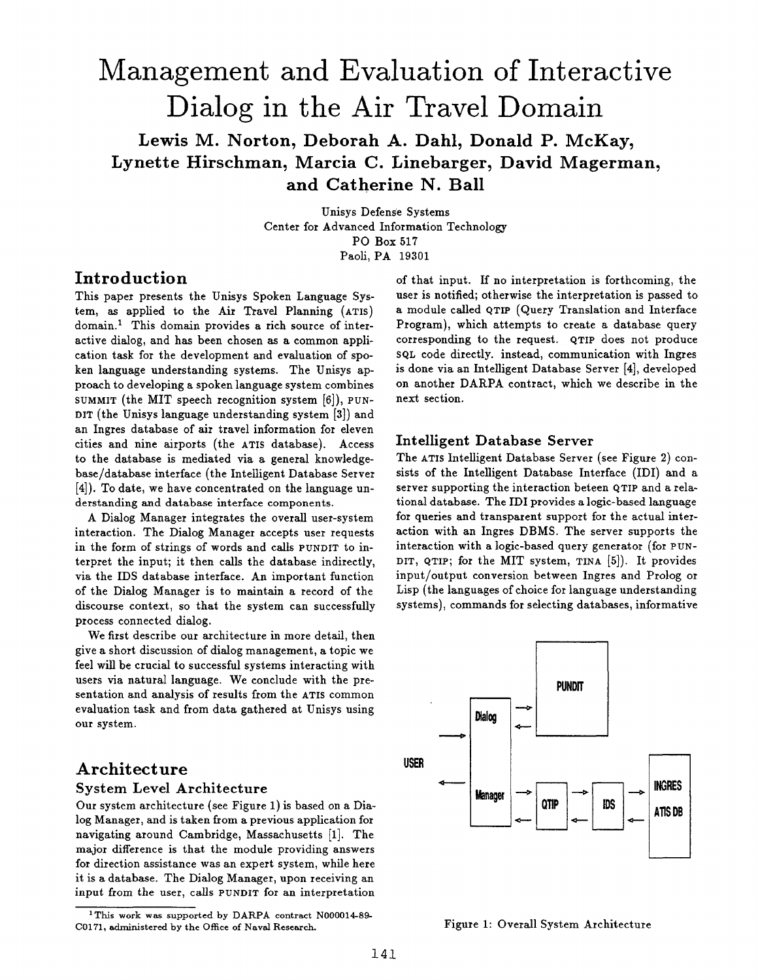# **Management and Evaluation of Interactive Dialog in the Air Travel Domain**

# Lewis M. Norton, Deborah A. Dahl, Donald P. McKay, Lynette Hirschman, Marcia C. Linebarger, David Magerman, **and Catherine N. Ball**

Unisys Defense Systems Center for Advanced Information Technology PO Box 517 Paoli, PA 19301

# **Introduction**

This paper presents the Unisys Spoken Language System, as applied to the Air Travel Planning (ATIS) domain.<sup>1</sup> This domain provides a rich source of interactive dialog, and has been chosen as a common application task for the development and evaluation of spoken language understanding systems. The Unisys approach to developing a spoken language system combines SUMMIT (the MIT speech recognition system [6]), PUN-DIT (the Unisys language understanding system [3]) and an Ingres database of air travel information for eleven cities and nine airports (the ATIS database). Access to the database is mediated via a general knowledgebase/database interface (the Intelligent Database Server [4]). To date, we have concentrated on the language understanding and database interface components.

A Dialog Manager integrates the overall user-system interaction. The Dialog Manager accepts user requests in the form of strings of words and calls PUNDIT to interpret the input; it then calls the database indirectly, via the IDS database interface. An important function of the Dialog Manager is to maintain a record of the discourse context, so that the system can successfully process connected dialog.

We first describe our architecture in more detail, then give a short discussion of dialog management, a topic we feel will be crucial to successful systems interacting with users via natural language. We conclude with the presentation and analysis of results from the ATIS common evaluation task and from data gathered at Unisys using our system.

## **Architecture**  System Level Architecture

Our system architecture (see Figure 1) is based on a Dialog Manager, and is taken from a previous application for navigating around Cambridge, Massachusetts [1]. The major difference is that the module providing answers for direction assistance was an expert system, while here it is a database. The Dialog Manager, upon receiving an input from the user, calls PUNDIT for an interpretation

of that input. If no interpretation is forthcoming, the user is notified; otherwise the interpretation is passed to a module called QTIP (Query Translation and Interface Program), which attempts to create a database query corresponding to the request. QTIP does not produce SQL code directly, instead, communication with Ingres is done via an Intelligent Database Server [4], developed on another DARPA contract, which we describe in the next section.

#### Intelligent Database Server

The ATIS Intelligent Database Server (see Figure 2) consists of the Intelligent Database Interface (IDI) and a server supporting the interaction beteen QTIP and a relational database. The IDI provides a logic-based language for queries and transparent support for the actual interaction with an Ingres DBMS. The server supports the interaction with a logic-based query generator (for PUN-DIT, qTIP; for the MIT system, TINA [5]). It provides input/output conversion between Ingres and Prolog or Lisp (the languages of choice for language understanding systems), commands for selecting databases, informative



Figure 1: Overall System Architecture

<sup>&</sup>lt;sup>1</sup>This work was supported by DARPA contract N000014-89-C0171, administered by the Office of Naval Research.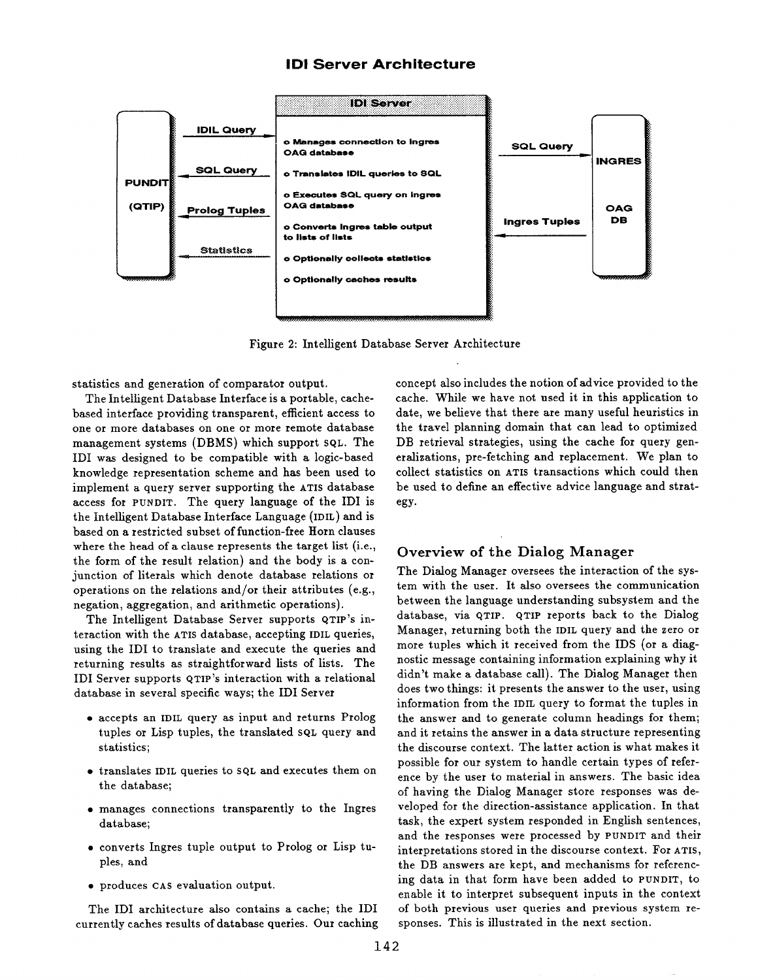#### **IDI Server Architecture**



Figure 2: Intelligent Database Server Architecture

statistics and generation of comparator output.

The Intelligent Database Interface is a portable, cachebased interface providing transparent, efficient access to one or more databases on one or more remote database management systems (DBMS) which support sQL. The IDI was designed to be compatible with a logic-based knowledge representation scheme and has been used to implement a query server supporting the ATIS database access for PUNDIT. The query language of the IDI is the Intelligent Database Interface Language (IDIL) and is based on a restricted subset of function-free Horn clauses where the head of a clause represents the target list (i.e., the form of the result relation) and the body is a conjunction of literals which denote database relations or operations on the relations and/or their attributes (e.g., negation, aggregation, and arithmetic operations).

The Intelligent Database Server supports QTIP's interaction with the ATIS database, accepting IDIL queries, using the IDI to translate and execute the queries and returning results as straightforward lists of lists. The IDI Server supports QTIP's interaction with a relational database in several specific ways; the IDI Server

- accepts an IDIL query as input and returns Prolog tuples or Lisp tuples, the translated sql query and statistics;
- translates IDIL queries to SQL and executes them on the database;
- · manages connections transparently to the Ingres database;
- converts Ingres tuple output to Prolog or Lisp tuples, and
- · produces CAS evaluation output.

The IDI architecture also contains a cache; the IDI currently caches results of database queries. Our caching

concept also includes the notion of advice provided to the cache. While we have not used it in this application to date, we believe that there are many useful heuristics in the travel planning domain that can lead to optimized DB retrieval strategies, using the cache for query generalizations, pre-fetching and replacement. We plan to collect statistics on ATIS transactions which could then be used to define an effective advice language and strategy.

#### Overview of the Dialog Manager

The Dialog Manager oversees the interaction of the system with the user. It also oversees the communication between the language understanding subsystem and the database, via QTIP. QTIP reports back to the Dialog Manager, returning both the IDIL query and the zero or more tuples which it received from the IDS (or a diagnostic message containing information explaining why it didn't make a database call). The Dialog Manager then does two things: it presents the answer to the user, using information from the IDIL query to format the tuples in the answer and to generate column headings for them; and it retains the answer in a data structure representing the discourse context. The latter action is what makes it possible for our system to handle certain types of reference by the user to material in answers. The basic idea of having the Dialog Manager store responses was developed for the direction-assistance application. In that task, the expert system responded in English sentences, and the responses were processed by PUNDIT and their interpretations stored in the discourse context. For ATIS, the DB answers are kept, and mechanisms for referencing data in that form have been added to PUNDIT, to enable it to interpret subsequent inputs in the context of both previous user queries and previous system responses. This is illustrated in the next section.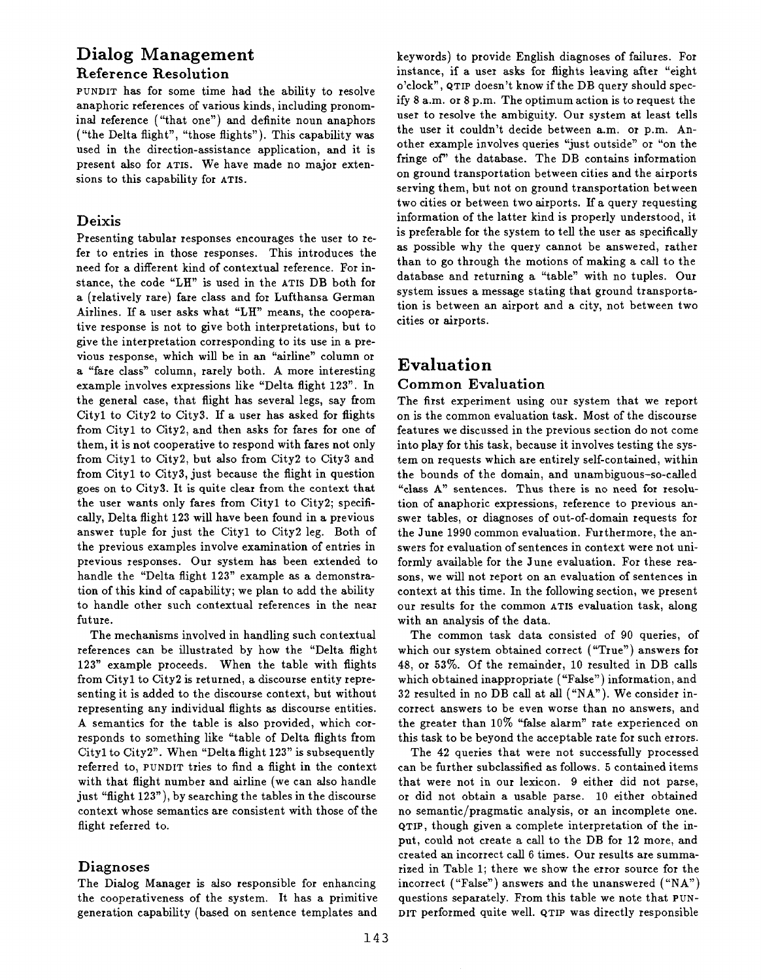# **Dialog Management Reference Resolution**

**PUNDIT** has for some time had the ability to resolve anaphoric references of various kinds, including pronominal reference ("that one") and definite noun anaphors ("the Delta flight", "those flights"). This capability was used in the direction-assistance application, and it is present also for **ATIS.** We have made no major extensions to this capability for **ATIS.** 

### **Deixis**

Presenting tabular responses encourages the user to refer to entries in those responses. This introduces the need for a different kind of contextual reference. For instance, the code "LH" is used in the **ATIS** DB both for a (relatively rare) fare class and for Lufthansa German Airlines. If a user asks what "LH" means, the cooperative response is not to give both interpretations, but to give the interpretation corresponding to its use in a previous response, which will be in an "airline" column or a "fare class" column, rarely both. A more interesting example involves expressions like "Delta flight 123". In the general case, that flight has several legs, say from Cityl to City2 to City3. If a user has asked for flights from Cityl to City2, and then asks for fares for one of them, it is not cooperative to respond with fares not only from Cityl to City2, but also from City2 to City3 and from Cityl to City3, just because the fight in question goes on to City3. It is quite clear from the context that the user wants only fares from Cityl to City2; specifically, Delta flight 123 will have been found in a previous answer tuple for just the Cityl to City2 leg. Both of the previous examples involve examination of entries in previous responses. Our system has been extended to handle the "Delta flight 123" example as a demonstration of this kind of capability; we plan to add the ability to handle other such contextual references in the near future.

The mechanisms involved in handling such contextual references can be illustrated by how the "Delta flight 123" example proceeds. When the table with flights from Cityl to City2 is returned, a discourse entity representing it is added to the discourse context, but without representing any individual flights as discourse entities. A semantics for the table is also provided, which corresponds to something like "table of Delta flights from Cityl to City2". When "Delta flight 123" is subsequently referred to, **PUNDIT** tries to find a flight in the context with that flight number and airline (we can also handle just "flight 123"), by searching the tables in the discourse context whose semantics are consistent with those of the flight referred to.

## **Diagnoses**

The Dialog Manager is also responsible for enhancing the cooperativeness of the system. It has a primitive generation capability (based on sentence templates and keywords) to provide English diagnoses of failures. For instance, if a user asks for flights leaving after "eight o'clock", **QTIP** doesn't know if the DB query should specify 8 a.m. or 8 p.m. The optimum action is to request the user to resolve the ambiguity. Our system at least tells the user it couldn't decide between a.m. or p.m. Another example involves queries "just outside" or "on the fringe of' the database. The DB contains information on ground transportation between cities and the airports serving them, but not on ground transportation between two cities or between two airports. If a query requesting information of the latter kind is properly understood, it is preferable for the system to tell the user as specifically as possible why the query cannot be answered, rather than to go through the motions of making a call to the database and returning a "table" with no tuples. Our system issues a message stating that ground transportation is between an airport and a city, not between two cities or airports.

# **Evaluation**

#### **Common Evaluation**

The first experiment using our system that we report on is the common evaluation task. Most of the discourse features we discussed in the previous section do not come into play for this task, because it involves testing the system on requests which are entirely self-contained, within the bounds of the domain, and unambiguous-so-called "class **A"** sentences. Thus there is no need for resolution of anaphoric expressions, reference to previous answer tables, or diagnoses of out-of-domain requests for the June 1990 common evaluation. Furthermore, the answers for evaluation of sentences in context were not uniformly available for the June evaluation. For these reasons, we will not report on an evaluation of sentences in context at this time. In the following section, we present our results for the common **ATIS** evaluation task, along with an analysis of the data.

The common task data consisted of 90 queries, of which our system obtained correct ("True") answers for 48, or 53%. Of the remainder, 10 resulted in DB calls which obtained inappropriate ("False") information, and 32 resulted in no DB call at all ("NA"). We consider incorrect answers to be even worse than no answers, and the greater than 10% "false alarm" rate experienced on this task to be beyond the acceptable rate for such errors.

The 42 queries that were not successfully processed can be further subclassified as follows. 5 contained items that were not in our lexicon. 9 either did not parse, or did not obtain a usable parse. 10 either obtained no semantic/pragmatic analysis, or an incomplete one. QTIP, though given a complete interpretation of the input, could not create a call to the DB for **12** more, and created an incorrect call 6 times. Our results are summarized in Table 1; there we show the error source for the incorrect ("False") answers and the unanswered ("NA") questions separately. From this table we note that **PUN-DIT** performed quite well. **QTIP** was directly responsible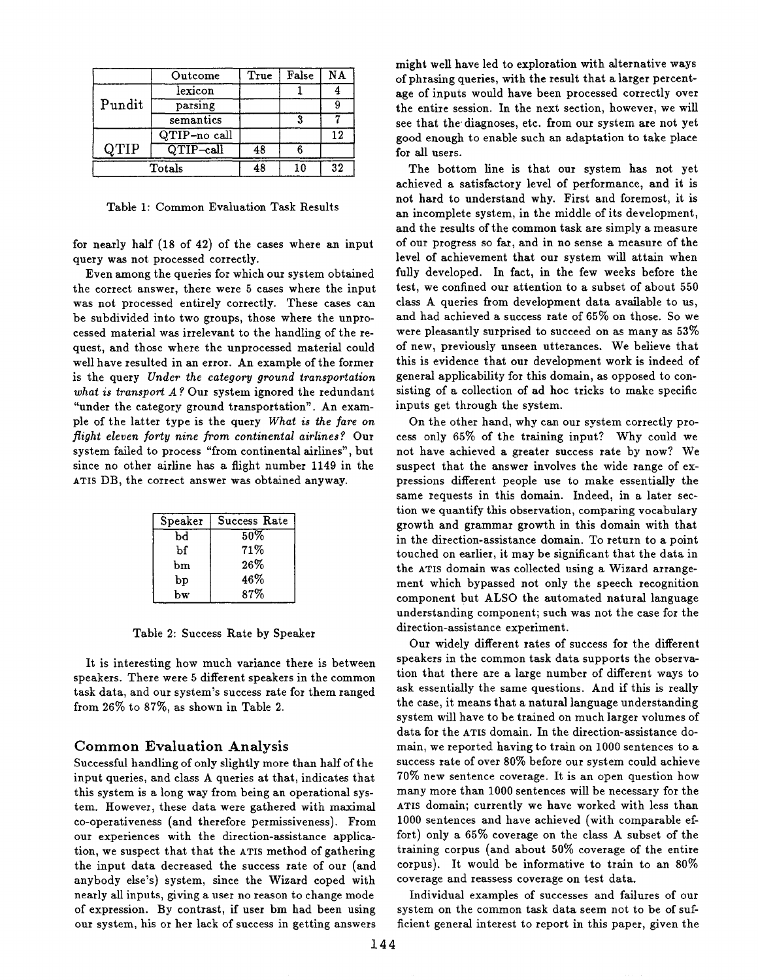|        | Outcome                        | True | False | NΑ |
|--------|--------------------------------|------|-------|----|
| Pundit | lexicon                        |      |       |    |
|        | parsing                        |      |       |    |
|        | semantics                      |      |       |    |
|        | QTIP-no call                   |      |       | 12 |
| QTIP   | $\overline{\text{QTIP--call}}$ | 48   |       |    |
| Totals |                                |      | 10    | 32 |

Table 1: Common Evaluation Task Results

for nearly half (18 of 42) of the cases where an input query was not processed correctly.

Even among the queries for which our system obtained the correct answer, there were 5 cases where the input was not processed entirely correctly. These cases can be subdivided into two groups, those where the unprocessed material was irrelevant to the handling of the request, and those where the unprocessed material could well have resulted in an error. An example of the former is the query *Under the category ground transportation what is transport A ?* Our system ignored the redundant "under the category ground transportation". An example of the latter type is the query *What is the fare on flight eleven forty nine from continental airlines?* Our system failed to process "from continental airlines", but since no other airline has a flight number 1149 in the ATIS DB, the correct answer was obtained anyway.

| Speaker | Success Rate |  |  |
|---------|--------------|--|--|
| bd      | 50%          |  |  |
| Ъf      | 71%          |  |  |
| bm      | 26%          |  |  |
| bp      | 46%          |  |  |
| bw      | 87%          |  |  |

Table 2: Success Rate by Speaker

It is interesting how much variance there is between speakers. There were 5 different speakers in the common task data, and our system's success rate for them ranged from 26% to 87%, as shown in Table 2.

#### Common Evaluation Analysis

Successful handling of only slightly more than half of the input queries, and class A queries at that, indicates that this system is a long way from being an operational system. However, these data were gathered with maximal co-operativeness (and therefore permissiveness). From our experiences with the direction-assistance application, we suspect that that the ATIS method of gathering the input data decreased the success rate of our (and anybody else's) system, since the Wizard coped with nearly all inputs, giving a user no reason to change mode of expression. By contrast, if user bm had been using our system, his or her lack of success in getting answers might well have led to exploration with alternative ways of phrasing queries, with the result that a larger percentage of inputs would have been processed correctly over the entire session. In the next section, however, we will see that the diagnoses, etc. from our system are not yet good enough to enable such an adaptation to take place for all users.

The bottom line is that our system has not yet achieved a satisfactory level of performance, and it is not hard to understand why. First and foremost, it is an incomplete system, in the middle of its development, and the results of the common task are simply a measure of our progress so far, and in no sense a measure of the level of achievement that our system will attain when fully developed. In fact, in the few weeks before the test, we confined our attention to a subset of about 550 class A queries from development data available to us, and had achieved a success rate of 65% on those. So we were pleasantly surprised to succeed on as many as 53% of new, previously unseen utterances. We believe that this is evidence that our development work is indeed of general applicability for this domain, as opposed to consisting of a collection of ad hoc tricks to make specific inputs get through the system.

On the other hand, why can our system correctly process only 65% of the training input? Why could we not have achieved a greater success rate by now? We suspect that the answer involves the wide range of expressions different people use to make essentially the same requests in this domain. Indeed, in a later section we quantify this observation, comparing vocabulary growth and grammar growth in this domain with that in the direction-assistance domain. To return to a point touched on earlier, it may be significant that the data in the ATIS domain was collected using a Wizard arrangement which bypassed not only the speech recognition component but ALSO the automated natural language understanding component; such was not the case for the direction-assistance experiment.

Our widely different rates of success for the different speakers in the common task data supports the observation that there are a large number of different ways to ask essentially the same questions. And if this is really the case, it means that a natural language understanding system will have to be trained on much larger volumes of data for the ATIS domain. In the direction-assistance domain, we reported having to train on 1000 sentences to a success rate of over 80% before our system could achieve 70% new sentence coverage. It is an open question how many more than 1000 sentences will be necessary for the ATIS domain; currently we have worked with less than 1000 sentences and have achieved (with comparable effort) only a 65% coverage on the class A subset of the training corpus (and about 50% coverage of the entire corpus). It would be informative to train to an 80% coverage and reassess coverage on test data.

Individual examples of successes and failures of our system on the common task data seem not to be of sufficient general interest to report in this paper, given the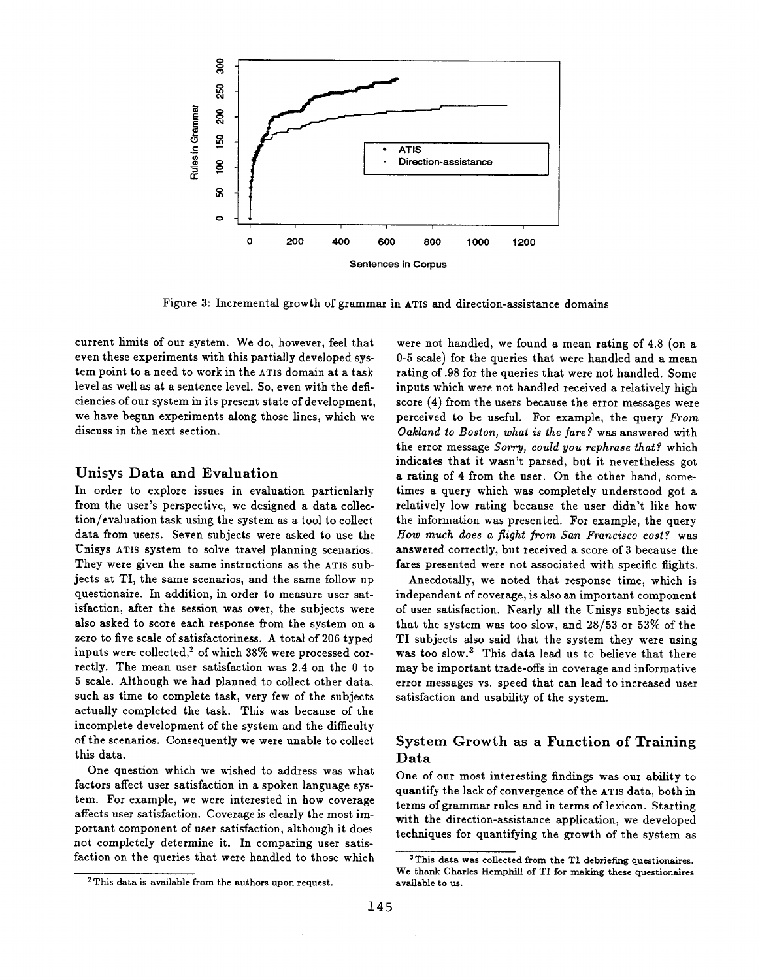

Figure 3: Incremental growth of grammar in ATIS and direction-assistance domains

current limits of our system. We do, however, feel that even these experiments with this partially developed system point to a need to work in the ATIS domain at a task level as well as at a sentence level. So, even with the deficiencies of our system in its present state of development, we have begun experiments along those lines, which we discuss in the next section.

#### Unisys Data and Evaluation

In order to explore issues in evaluation particularly from the user's perspective, we designed a data collection/evaluation task using the system as a tool to collect data from users. Seven subjects were asked to use the Unisys ATIS system to solve travel planning scenarios. They were given the same instructions as the ATIS subjects at TI, the same scenarios, and the same follow up questionaire. In addition, in order to measure user satisfaction, after the session was over, the subjects were also asked to score each response from the system on a zero to five scale of satisfactoriness. A total of 206 typed inputs were collected,<sup>2</sup> of which  $38\%$  were processed correctly. The mean user satisfaction was 2.4 on the 0 to 5 scale. Although we had planned to collect other data, such as time to complete task, very few of the subjects actually completed the task. This was because of the incomplete development of the system and the difficulty of the scenarios. Consequently we were unable to collect this data.

One question which we wished to address was what factors affect user satisfaction in a spoken language system. For example, we were interested in how coverage affects user satisfaction. Coverage is clearly the most important component of user satisfaction, although it does not completely determine it. In comparing user satisfaction on the queries that were handled to those which

2 This data is available from the authors upon request.

were not handled, we found a mean rating of 4.8 (on a 0-5 scale) for the queries that were handled and a mean rating of .98 for the queries that were not handled. Some inputs which were not handled received a relatively high score (4) from the users because the error messages were perceived to be useful. For example, the query *From Oakland to Boston, what is the fare ¢.* was answered with the error message *Sorry, could you rephrase that ¢.* which indicates that it wasn't parsed, but it nevertheless got a rating of 4 from the user. On the other hand, sometimes a query which was completely understood got a relatively low rating because the user didn't like how the information was presented. For example, the query *How much does a flight from San Francisco cost?* was answered correctly, but received a score of 3 because the fares presented were not associated with specific flights.

Aneedotally, we noted that response time, which is independent of coverage, is also an important component of user satisfaction. Nearly all the Unisys subjects said that the system was too slow, and 28/53 or 53% of the TI subjects also said that the system they were using was too slow.<sup>3</sup> This data lead us to believe that there may be important trade-offs in coverage and informative error messages vs. speed that can lead to increased user satisfaction and usability of the system.

#### System Growth as a Function of Training **Data**

One of our most interesting findings was our ability to quantify the lack of convergence of the ATIS data, both in terms of grammar rules and in terms of lexicon. Starting with the direction-assistance application, we developed techniques for quantifying the growth of the system as

<sup>&</sup>lt;sup>3</sup>This data was collected from the TI debriefing questionaires. We thank Charles Hemphill of TI for making these questionaires available to us.